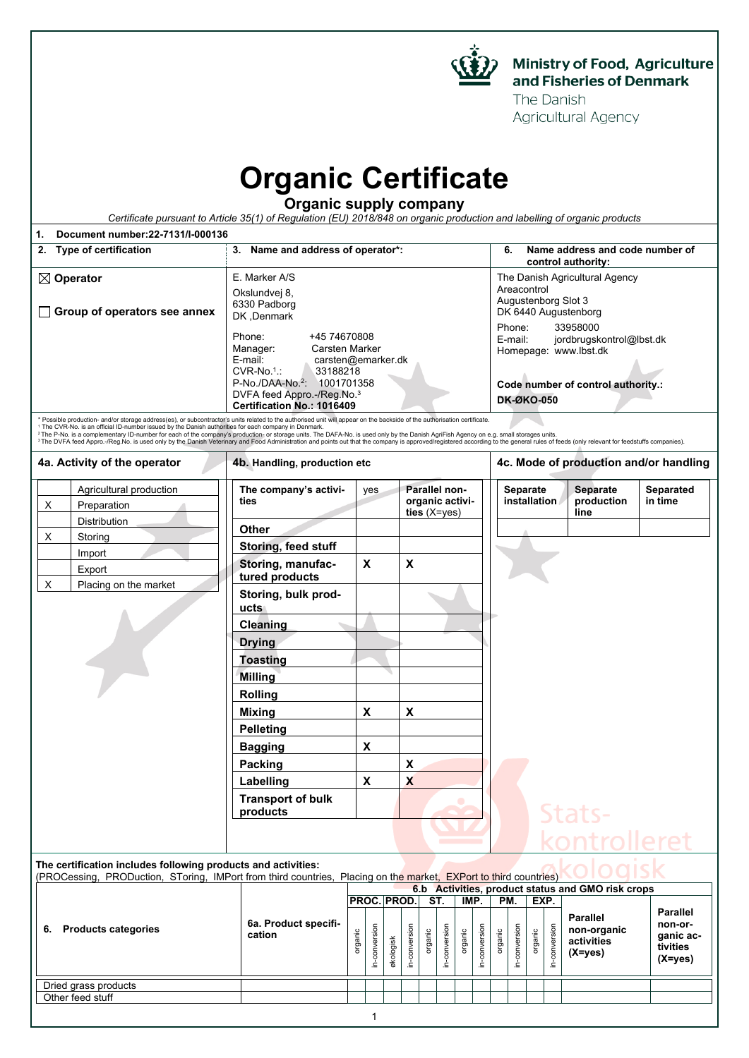

The Danish Agricultural Agency

> **non-organic activities (X=yes)**

**non-organic activities (X=yes)**

## **Organic Certificate**

**Organic supply company**

|                                                                                                                                                                                                                                                                                                                                                                                                                                                                                                                                                                                                                                                                                                                                    | Certificate pursuant to Article 35(1) of Regulation (EU) 2018/848 on organic production and labelling of organic products                                                                                                                                                                  |                                                                                                                                                                                                                                               |                          |                                        |                      |  |  |  |  |
|------------------------------------------------------------------------------------------------------------------------------------------------------------------------------------------------------------------------------------------------------------------------------------------------------------------------------------------------------------------------------------------------------------------------------------------------------------------------------------------------------------------------------------------------------------------------------------------------------------------------------------------------------------------------------------------------------------------------------------|--------------------------------------------------------------------------------------------------------------------------------------------------------------------------------------------------------------------------------------------------------------------------------------------|-----------------------------------------------------------------------------------------------------------------------------------------------------------------------------------------------------------------------------------------------|--------------------------|----------------------------------------|----------------------|--|--|--|--|
| Document number: 22-7131/I-000136<br>1.                                                                                                                                                                                                                                                                                                                                                                                                                                                                                                                                                                                                                                                                                            |                                                                                                                                                                                                                                                                                            |                                                                                                                                                                                                                                               |                          |                                        |                      |  |  |  |  |
| 2. Type of certification                                                                                                                                                                                                                                                                                                                                                                                                                                                                                                                                                                                                                                                                                                           | 3. Name and address of operator*:                                                                                                                                                                                                                                                          | 6.<br>Name address and code number of<br>control authority:                                                                                                                                                                                   |                          |                                        |                      |  |  |  |  |
| $\boxtimes$ Operator<br>Group of operators see annex<br>$\perp$                                                                                                                                                                                                                                                                                                                                                                                                                                                                                                                                                                                                                                                                    | E. Marker A/S<br>Okslundvej 8,<br>6330 Padborg<br>DK, Denmark<br>Phone:<br>+45 74670808<br>Manager:<br>Carsten Marker<br>E-mail:<br>carsten@emarker.dk<br>$CVR-No.1$ .:<br>33188218<br>P-No./DAA-No. <sup>2</sup> : 1001701358<br>DVFA feed Appro.-/Reg.No.3<br>Certification No.: 1016409 | The Danish Agricultural Agency<br>Areacontrol<br>Augustenborg Slot 3<br>DK 6440 Augustenborg<br>33958000<br>Phone:<br>E-mail:<br>jordbrugskontrol@lbst.dk<br>Homepage: www.lbst.dk<br>Code number of control authority.:<br><b>DK-ØKO-050</b> |                          |                                        |                      |  |  |  |  |
| * Possible production- and/or storage address(es), or subcontractor's units related to the authorised unit will appear on the backside of the authorisation certificate.<br><sup>1</sup> The CVR-No. is an official ID-number issued by the Danish authorities for each company in Denmark.<br><sup>2</sup> The P-No. is a complementary ID-number for each of the company's production- or storage units. The DAFA-No. is used only by the Danish AgriFish Agency on e.g. small storages units.<br>3 The DVFA feed Appro.-/Reg.No. is used only by the Danish Veterinary and Food Administration and points out that the company is approved/registered according to the general rules of feeds (only relevant for feedstuffs com |                                                                                                                                                                                                                                                                                            |                                                                                                                                                                                                                                               |                          |                                        |                      |  |  |  |  |
| 4a. Activity of the operator                                                                                                                                                                                                                                                                                                                                                                                                                                                                                                                                                                                                                                                                                                       | 4b. Handling, production etc                                                                                                                                                                                                                                                               |                                                                                                                                                                                                                                               |                          | 4c. Mode of production and/or handling |                      |  |  |  |  |
| Agricultural production<br>X<br>Preparation                                                                                                                                                                                                                                                                                                                                                                                                                                                                                                                                                                                                                                                                                        | The company's activi-<br>ties                                                                                                                                                                                                                                                              | Parallel non-<br>yes<br>organic activi-<br>ties $(X=yes)$                                                                                                                                                                                     | Separate<br>installation | <b>Separate</b><br>production<br>line  | Separated<br>in time |  |  |  |  |
| Distribution<br>X<br>Storing                                                                                                                                                                                                                                                                                                                                                                                                                                                                                                                                                                                                                                                                                                       | Other                                                                                                                                                                                                                                                                                      |                                                                                                                                                                                                                                               |                          |                                        |                      |  |  |  |  |
| Import                                                                                                                                                                                                                                                                                                                                                                                                                                                                                                                                                                                                                                                                                                                             | Storing, feed stuff                                                                                                                                                                                                                                                                        |                                                                                                                                                                                                                                               |                          |                                        |                      |  |  |  |  |
| Export                                                                                                                                                                                                                                                                                                                                                                                                                                                                                                                                                                                                                                                                                                                             | X<br>Storing, manufac-<br>tured products                                                                                                                                                                                                                                                   | X                                                                                                                                                                                                                                             |                          |                                        |                      |  |  |  |  |
| X<br>Placing on the market                                                                                                                                                                                                                                                                                                                                                                                                                                                                                                                                                                                                                                                                                                         | Storing, bulk prod-<br>ucts                                                                                                                                                                                                                                                                |                                                                                                                                                                                                                                               |                          |                                        |                      |  |  |  |  |
|                                                                                                                                                                                                                                                                                                                                                                                                                                                                                                                                                                                                                                                                                                                                    | <b>Cleaning</b>                                                                                                                                                                                                                                                                            |                                                                                                                                                                                                                                               |                          |                                        |                      |  |  |  |  |
|                                                                                                                                                                                                                                                                                                                                                                                                                                                                                                                                                                                                                                                                                                                                    | <b>Drying</b>                                                                                                                                                                                                                                                                              |                                                                                                                                                                                                                                               |                          |                                        |                      |  |  |  |  |
|                                                                                                                                                                                                                                                                                                                                                                                                                                                                                                                                                                                                                                                                                                                                    | <b>Toasting</b>                                                                                                                                                                                                                                                                            |                                                                                                                                                                                                                                               |                          |                                        |                      |  |  |  |  |
|                                                                                                                                                                                                                                                                                                                                                                                                                                                                                                                                                                                                                                                                                                                                    | <b>Milling</b>                                                                                                                                                                                                                                                                             |                                                                                                                                                                                                                                               |                          |                                        |                      |  |  |  |  |
|                                                                                                                                                                                                                                                                                                                                                                                                                                                                                                                                                                                                                                                                                                                                    | <b>Rolling</b>                                                                                                                                                                                                                                                                             |                                                                                                                                                                                                                                               |                          |                                        |                      |  |  |  |  |
|                                                                                                                                                                                                                                                                                                                                                                                                                                                                                                                                                                                                                                                                                                                                    | X<br><b>Mixing</b>                                                                                                                                                                                                                                                                         | X                                                                                                                                                                                                                                             |                          |                                        |                      |  |  |  |  |
|                                                                                                                                                                                                                                                                                                                                                                                                                                                                                                                                                                                                                                                                                                                                    | <b>Pelleting</b>                                                                                                                                                                                                                                                                           |                                                                                                                                                                                                                                               |                          |                                        |                      |  |  |  |  |
|                                                                                                                                                                                                                                                                                                                                                                                                                                                                                                                                                                                                                                                                                                                                    | <b>Bagging</b>                                                                                                                                                                                                                                                                             | X                                                                                                                                                                                                                                             |                          |                                        |                      |  |  |  |  |
|                                                                                                                                                                                                                                                                                                                                                                                                                                                                                                                                                                                                                                                                                                                                    | Packing                                                                                                                                                                                                                                                                                    | X                                                                                                                                                                                                                                             |                          |                                        |                      |  |  |  |  |
|                                                                                                                                                                                                                                                                                                                                                                                                                                                                                                                                                                                                                                                                                                                                    | Labelling<br>X                                                                                                                                                                                                                                                                             | X                                                                                                                                                                                                                                             |                          |                                        |                      |  |  |  |  |
|                                                                                                                                                                                                                                                                                                                                                                                                                                                                                                                                                                                                                                                                                                                                    | <b>Transport of bulk</b><br>products                                                                                                                                                                                                                                                       |                                                                                                                                                                                                                                               |                          | Stats-                                 |                      |  |  |  |  |
|                                                                                                                                                                                                                                                                                                                                                                                                                                                                                                                                                                                                                                                                                                                                    |                                                                                                                                                                                                                                                                                            |                                                                                                                                                                                                                                               |                          | kontrolleret                           |                      |  |  |  |  |
| The certification includes following products and activities:                                                                                                                                                                                                                                                                                                                                                                                                                                                                                                                                                                                                                                                                      |                                                                                                                                                                                                                                                                                            |                                                                                                                                                                                                                                               |                          |                                        |                      |  |  |  |  |
|                                                                                                                                                                                                                                                                                                                                                                                                                                                                                                                                                                                                                                                                                                                                    | (PROCessing, PRODuction, SToring, IMPort from third countries, Placing on the market, EXPort to third countries)<br>6.b Activities, product status and GMO risk crops                                                                                                                      |                                                                                                                                                                                                                                               |                          |                                        |                      |  |  |  |  |
|                                                                                                                                                                                                                                                                                                                                                                                                                                                                                                                                                                                                                                                                                                                                    |                                                                                                                                                                                                                                                                                            | PROC. PROD.<br>ST.<br>IMP.                                                                                                                                                                                                                    | PM.<br>EXP.              | <b>Parallel</b>                        | <b>Parallel</b>      |  |  |  |  |

1

organic in-conversion økologisk in-conversion organic in-conversion organic in-conversion organic in-conversion organic in-conversion

**6. Products categories 6a. Product specifi-**

Dried grass products Other feed stuff

**cation**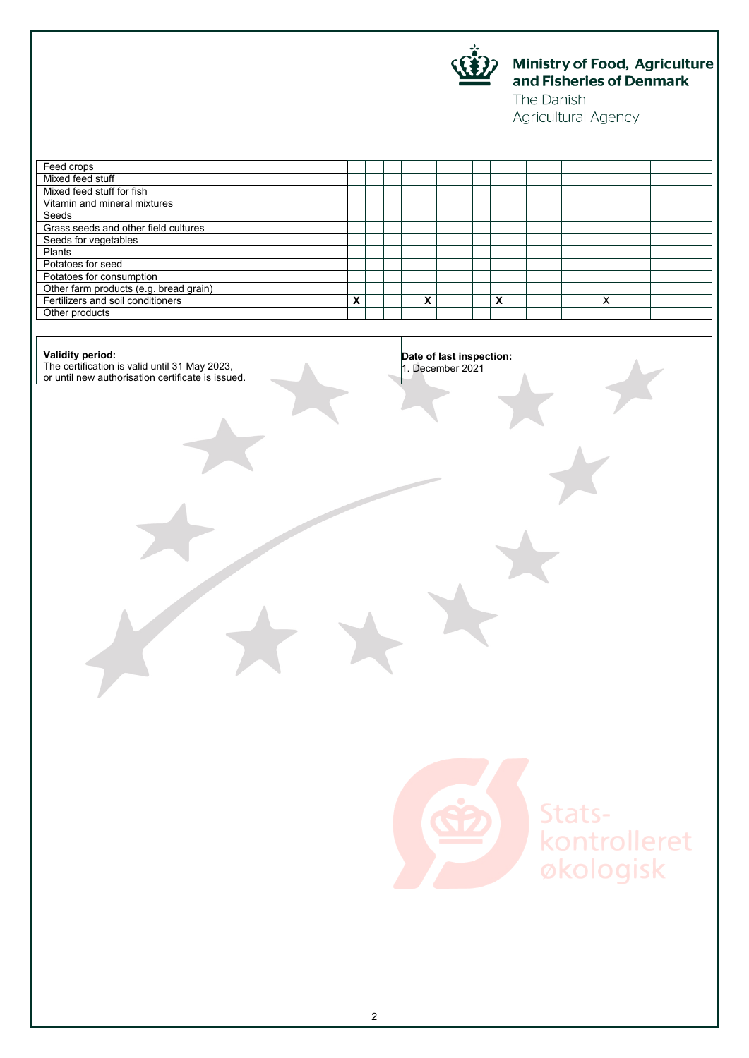

## Ministry of Food, Agriculture<br>and Fisheries of Denmark

The Danish Agricultural Agency

| $\overline{\mathbf{x}}$ |  | $\overline{\mathbf{x}}$ |  | Date of last inspection:<br>1. December 2021 | $\overline{\mathbf{x}}$ |  |  |  | $\overline{\mathsf{x}}$ |  |
|-------------------------|--|-------------------------|--|----------------------------------------------|-------------------------|--|--|--|-------------------------|--|
|                         |  |                         |  |                                              |                         |  |  |  |                         |  |
|                         |  |                         |  |                                              |                         |  |  |  |                         |  |
|                         |  |                         |  |                                              |                         |  |  |  |                         |  |
|                         |  |                         |  |                                              |                         |  |  |  |                         |  |
|                         |  |                         |  |                                              |                         |  |  |  |                         |  |
|                         |  |                         |  |                                              |                         |  |  |  |                         |  |
|                         |  |                         |  |                                              |                         |  |  |  |                         |  |
|                         |  |                         |  |                                              |                         |  |  |  |                         |  |
|                         |  |                         |  |                                              |                         |  |  |  |                         |  |
|                         |  |                         |  |                                              |                         |  |  |  |                         |  |
|                         |  |                         |  |                                              |                         |  |  |  |                         |  |
|                         |  |                         |  |                                              |                         |  |  |  |                         |  |
|                         |  |                         |  |                                              |                         |  |  |  |                         |  |
|                         |  |                         |  |                                              |                         |  |  |  |                         |  |
|                         |  |                         |  |                                              |                         |  |  |  |                         |  |
|                         |  |                         |  |                                              |                         |  |  |  |                         |  |
|                         |  |                         |  |                                              |                         |  |  |  |                         |  |



Statskontrolleret<br>økologisk